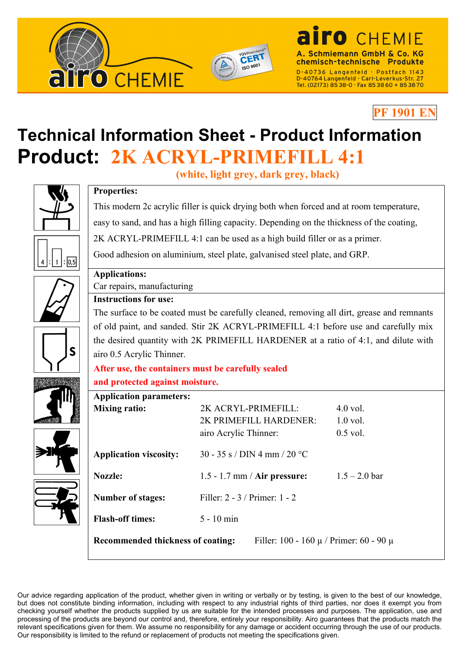

**Properties:**



**PF 1901 EN**

Tel. (02173) 85 38-0 · Fax 85 38 60 + 85 38 70

## **Technical Information Sheet - Product Information Product: 2K ACRYL-PRIMEFILL 4:1**

**(white, light grey, dark grey, black)**

This modern 2c acrylic filler is quick drying both when forced and at room temperature,



|  | easy to sand, and has a high filling capacity. Depending on the thickness of the coating,  |                                                                                    |                 |  |  |
|--|--------------------------------------------------------------------------------------------|------------------------------------------------------------------------------------|-----------------|--|--|
|  | 2K ACRYL-PRIMEFILL 4:1 can be used as a high build filler or as a primer.                  |                                                                                    |                 |  |  |
|  | Good adhesion on aluminium, steel plate, galvanised steel plate, and GRP.                  |                                                                                    |                 |  |  |
|  | <b>Applications:</b>                                                                       |                                                                                    |                 |  |  |
|  | Car repairs, manufacturing                                                                 |                                                                                    |                 |  |  |
|  | <b>Instructions for use:</b>                                                               |                                                                                    |                 |  |  |
|  | The surface to be coated must be carefully cleaned, removing all dirt, grease and remnants |                                                                                    |                 |  |  |
|  |                                                                                            | of old paint, and sanded. Stir 2K ACRYL-PRIMEFILL 4:1 before use and carefully mix |                 |  |  |
|  | the desired quantity with 2K PRIMEFILL HARDENER at a ratio of 4:1, and dilute with         |                                                                                    |                 |  |  |
|  | airo 0.5 Acrylic Thinner.                                                                  |                                                                                    |                 |  |  |
|  | After use, the containers must be carefully sealed                                         |                                                                                    |                 |  |  |
|  | and protected against moisture.                                                            |                                                                                    |                 |  |  |
|  | <b>Application parameters:</b>                                                             |                                                                                    |                 |  |  |
|  | <b>Mixing ratio:</b>                                                                       | 2K ACRYL-PRIMEFILL:                                                                | $4.0$ vol.      |  |  |
|  |                                                                                            | 2K PRIMEFILL HARDENER:                                                             | $1.0$ vol.      |  |  |
|  |                                                                                            | airo Acrylic Thinner:                                                              | $0.5$ vol.      |  |  |
|  | <b>Application viscosity:</b>                                                              | 30 - 35 s / DIN 4 mm / 20 °C                                                       |                 |  |  |
|  | Nozzle:                                                                                    | $1.5 - 1.7$ mm / Air pressure:                                                     | $1.5 - 2.0$ bar |  |  |
|  | <b>Number of stages:</b>                                                                   | Filler: 2 - 3 / Primer: 1 - 2                                                      |                 |  |  |
|  | <b>Flash-off times:</b>                                                                    | 5 - 10 min                                                                         |                 |  |  |
|  | Recommended thickness of coating:<br>Filler: 100 - 160 $\mu$ / Primer: 60 - 90 $\mu$       |                                                                                    |                 |  |  |

Our advice regarding application of the product, whether given in writing or verbally or by testing, is given to the best of our knowledge, but does not constitute binding information, including with respect to any industrial rights of third parties, nor does it exempt you from checking yourself whether the products supplied by us are suitable for the intended processes and purposes. The application, use and processing of the products are beyond our control and, therefore, entirely your responsibility. Airo guarantees that the products match the relevant specifications given for them. We assume no responsibility for any damage or accident occurring through the use of our products. Our responsibility is limited to the refund or replacement of products not meeting the specifications given.